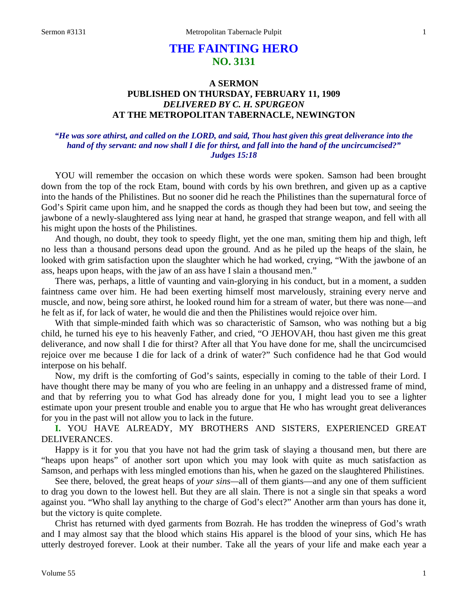# **THE FAINTING HERO NO. 3131**

## **A SERMON PUBLISHED ON THURSDAY, FEBRUARY 11, 1909** *DELIVERED BY C. H. SPURGEON* **AT THE METROPOLITAN TABERNACLE, NEWINGTON**

## *"He was sore athirst, and called on the LORD, and said, Thou hast given this great deliverance into the hand of thy servant: and now shall I die for thirst, and fall into the hand of the uncircumcised?" Judges 15:18*

YOU will remember the occasion on which these words were spoken. Samson had been brought down from the top of the rock Etam, bound with cords by his own brethren, and given up as a captive into the hands of the Philistines. But no sooner did he reach the Philistines than the supernatural force of God's Spirit came upon him, and he snapped the cords as though they had been but tow, and seeing the jawbone of a newly-slaughtered ass lying near at hand, he grasped that strange weapon, and fell with all his might upon the hosts of the Philistines.

And though, no doubt, they took to speedy flight, yet the one man, smiting them hip and thigh, left no less than a thousand persons dead upon the ground. And as he piled up the heaps of the slain, he looked with grim satisfaction upon the slaughter which he had worked, crying, "With the jawbone of an ass, heaps upon heaps, with the jaw of an ass have I slain a thousand men."

There was, perhaps, a little of vaunting and vain-glorying in his conduct, but in a moment, a sudden faintness came over him. He had been exerting himself most marvelously, straining every nerve and muscle, and now, being sore athirst, he looked round him for a stream of water, but there was none—and he felt as if, for lack of water, he would die and then the Philistines would rejoice over him.

With that simple-minded faith which was so characteristic of Samson, who was nothing but a big child, he turned his eye to his heavenly Father, and cried, "O JEHOVAH, thou hast given me this great deliverance, and now shall I die for thirst? After all that You have done for me, shall the uncircumcised rejoice over me because I die for lack of a drink of water?" Such confidence had he that God would interpose on his behalf.

Now, my drift is the comforting of God's saints, especially in coming to the table of their Lord. I have thought there may be many of you who are feeling in an unhappy and a distressed frame of mind, and that by referring you to what God has already done for you, I might lead you to see a lighter estimate upon your present trouble and enable you to argue that He who has wrought great deliverances for you in the past will not allow you to lack in the future.

**I.** YOU HAVE ALREADY, MY BROTHERS AND SISTERS, EXPERIENCED GREAT DELIVERANCES.

Happy is it for you that you have not had the grim task of slaying a thousand men, but there are "heaps upon heaps" of another sort upon which you may look with quite as much satisfaction as Samson, and perhaps with less mingled emotions than his, when he gazed on the slaughtered Philistines.

See there, beloved, the great heaps of *your sins—*all of them giants—and any one of them sufficient to drag you down to the lowest hell. But they are all slain. There is not a single sin that speaks a word against you. "Who shall lay anything to the charge of God's elect?" Another arm than yours has done it, but the victory is quite complete.

Christ has returned with dyed garments from Bozrah. He has trodden the winepress of God's wrath and I may almost say that the blood which stains His apparel is the blood of your sins, which He has utterly destroyed forever. Look at their number. Take all the years of your life and make each year a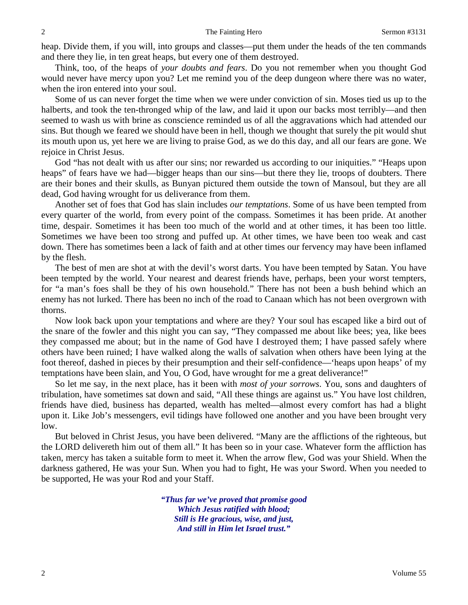heap. Divide them, if you will, into groups and classes—put them under the heads of the ten commands and there they lie, in ten great heaps, but every one of them destroyed.

Think, too, of the heaps of *your doubts and fears*. Do you not remember when you thought God would never have mercy upon you? Let me remind you of the deep dungeon where there was no water, when the iron entered into your soul.

Some of us can never forget the time when we were under conviction of sin. Moses tied us up to the halberts, and took the ten-thronged whip of the law, and laid it upon our backs most terribly—and then seemed to wash us with brine as conscience reminded us of all the aggravations which had attended our sins. But though we feared we should have been in hell, though we thought that surely the pit would shut its mouth upon us, yet here we are living to praise God, as we do this day, and all our fears are gone. We rejoice in Christ Jesus.

God "has not dealt with us after our sins; nor rewarded us according to our iniquities." "Heaps upon heaps" of fears have we had—bigger heaps than our sins—but there they lie, troops of doubters. There are their bones and their skulls, as Bunyan pictured them outside the town of Mansoul, but they are all dead, God having wrought for us deliverance from them.

Another set of foes that God has slain includes *our temptations*. Some of us have been tempted from every quarter of the world, from every point of the compass. Sometimes it has been pride. At another time, despair. Sometimes it has been too much of the world and at other times, it has been too little. Sometimes we have been too strong and puffed up. At other times, we have been too weak and cast down. There has sometimes been a lack of faith and at other times our fervency may have been inflamed by the flesh.

The best of men are shot at with the devil's worst darts. You have been tempted by Satan. You have been tempted by the world. Your nearest and dearest friends have, perhaps, been your worst tempters, for "a man's foes shall be they of his own household." There has not been a bush behind which an enemy has not lurked. There has been no inch of the road to Canaan which has not been overgrown with thorns.

Now look back upon your temptations and where are they? Your soul has escaped like a bird out of the snare of the fowler and this night you can say, "They compassed me about like bees; yea, like bees they compassed me about; but in the name of God have I destroyed them; I have passed safely where others have been ruined; I have walked along the walls of salvation when others have been lying at the foot thereof, dashed in pieces by their presumption and their self-confidence—'heaps upon heaps' of my temptations have been slain, and You, O God, have wrought for me a great deliverance!"

So let me say, in the next place, has it been with *most of your sorrows*. You, sons and daughters of tribulation, have sometimes sat down and said, "All these things are against us." You have lost children, friends have died, business has departed, wealth has melted—almost every comfort has had a blight upon it. Like Job's messengers, evil tidings have followed one another and you have been brought very low.

But beloved in Christ Jesus, you have been delivered. "Many are the afflictions of the righteous, but the LORD delivereth him out of them all." It has been so in your case. Whatever form the affliction has taken, mercy has taken a suitable form to meet it. When the arrow flew, God was your Shield. When the darkness gathered, He was your Sun. When you had to fight, He was your Sword. When you needed to be supported, He was your Rod and your Staff.

> *"Thus far we've proved that promise good Which Jesus ratified with blood; Still is He gracious, wise, and just, And still in Him let Israel trust."*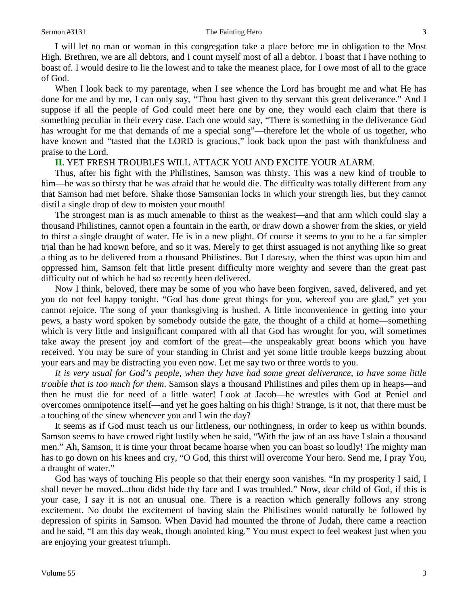I will let no man or woman in this congregation take a place before me in obligation to the Most High. Brethren, we are all debtors, and I count myself most of all a debtor. I boast that I have nothing to boast of. I would desire to lie the lowest and to take the meanest place, for I owe most of all to the grace of God.

When I look back to my parentage, when I see whence the Lord has brought me and what He has done for me and by me, I can only say, "Thou hast given to thy servant this great deliverance." And I suppose if all the people of God could meet here one by one, they would each claim that there is something peculiar in their every case. Each one would say, "There is something in the deliverance God has wrought for me that demands of me a special song"—therefore let the whole of us together, who have known and "tasted that the LORD is gracious," look back upon the past with thankfulness and praise to the Lord.

#### **II.** YET FRESH TROUBLES WILL ATTACK YOU AND EXCITE YOUR ALARM.

Thus, after his fight with the Philistines, Samson was thirsty. This was a new kind of trouble to him—he was so thirsty that he was afraid that he would die. The difficulty was totally different from any that Samson had met before. Shake those Samsonian locks in which your strength lies, but they cannot distil a single drop of dew to moisten your mouth!

The strongest man is as much amenable to thirst as the weakest—and that arm which could slay a thousand Philistines, cannot open a fountain in the earth, or draw down a shower from the skies, or yield to thirst a single draught of water. He is in a new plight. Of course it seems to you to be a far simpler trial than he had known before, and so it was. Merely to get thirst assuaged is not anything like so great a thing as to be delivered from a thousand Philistines. But I daresay, when the thirst was upon him and oppressed him, Samson felt that little present difficulty more weighty and severe than the great past difficulty out of which he had so recently been delivered.

Now I think, beloved, there may be some of you who have been forgiven, saved, delivered, and yet you do not feel happy tonight. "God has done great things for you, whereof you are glad," yet you cannot rejoice. The song of your thanksgiving is hushed. A little inconvenience in getting into your pews, a hasty word spoken by somebody outside the gate, the thought of a child at home—something which is very little and insignificant compared with all that God has wrought for you, will sometimes take away the present joy and comfort of the great—the unspeakably great boons which you have received. You may be sure of your standing in Christ and yet some little trouble keeps buzzing about your ears and may be distracting you even now. Let me say two or three words to you.

*It is very usual for God's people, when they have had some great deliverance, to have some little trouble that is too much for them*. Samson slays a thousand Philistines and piles them up in heaps—and then he must die for need of a little water! Look at Jacob—he wrestles with God at Peniel and overcomes omnipotence itself—and yet he goes halting on his thigh! Strange, is it not, that there must be a touching of the sinew whenever you and I win the day?

It seems as if God must teach us our littleness, our nothingness, in order to keep us within bounds. Samson seems to have crowed right lustily when he said, "With the jaw of an ass have I slain a thousand men." Ah, Samson, it is time your throat became hoarse when you can boast so loudly! The mighty man has to go down on his knees and cry, "O God, this thirst will overcome Your hero. Send me, I pray You, a draught of water."

God has ways of touching His people so that their energy soon vanishes. "In my prosperity I said, I shall never be moved...thou didst hide thy face and I was troubled." Now, dear child of God, if this is your case, I say it is not an unusual one. There is a reaction which generally follows any strong excitement. No doubt the excitement of having slain the Philistines would naturally be followed by depression of spirits in Samson. When David had mounted the throne of Judah, there came a reaction and he said, "I am this day weak, though anointed king." You must expect to feel weakest just when you are enjoying your greatest triumph.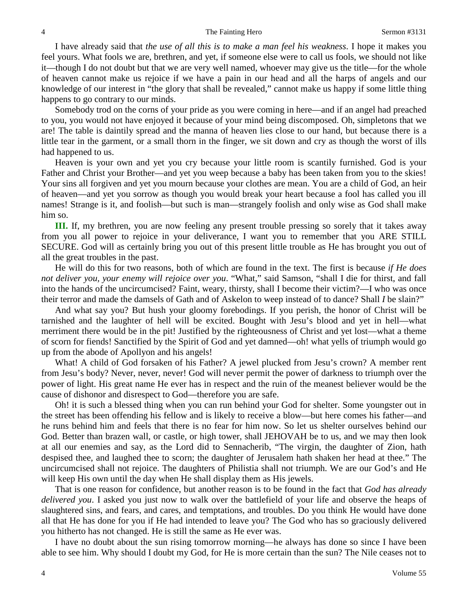I have already said that *the use of all this is to make a man feel his weakness*. I hope it makes you feel yours. What fools we are, brethren, and yet, if someone else were to call us fools, we should not like it—though I do not doubt but that we are very well named, whoever may give us the title—for the whole of heaven cannot make us rejoice if we have a pain in our head and all the harps of angels and our knowledge of our interest in "the glory that shall be revealed," cannot make us happy if some little thing happens to go contrary to our minds.

Somebody trod on the corns of your pride as you were coming in here—and if an angel had preached to you, you would not have enjoyed it because of your mind being discomposed. Oh, simpletons that we are! The table is daintily spread and the manna of heaven lies close to our hand, but because there is a little tear in the garment, or a small thorn in the finger, we sit down and cry as though the worst of ills had happened to us.

Heaven is your own and yet you cry because your little room is scantily furnished. God is your Father and Christ your Brother—and yet you weep because a baby has been taken from you to the skies! Your sins all forgiven and yet you mourn because your clothes are mean. You are a child of God, an heir of heaven—and yet you sorrow as though you would break your heart because a fool has called you ill names! Strange is it, and foolish—but such is man—strangely foolish and only wise as God shall make him so.

**III.** If, my brethren, you are now feeling any present trouble pressing so sorely that it takes away from you all power to rejoice in your deliverance, I want you to remember that you ARE STILL SECURE. God will as certainly bring you out of this present little trouble as He has brought you out of all the great troubles in the past.

He will do this for two reasons, both of which are found in the text. The first is because *if He does not deliver you, your enemy will rejoice over you*. "What," said Samson, "shall I die for thirst, and fall into the hands of the uncircumcised? Faint, weary, thirsty, shall I become their victim?—I who was once their terror and made the damsels of Gath and of Askelon to weep instead of to dance? Shall *I* be slain?"

And what say you? But hush your gloomy forebodings. If you perish, the honor of Christ will be tarnished and the laughter of hell will be excited. Bought with Jesu's blood and yet in hell—what merriment there would be in the pit! Justified by the righteousness of Christ and yet lost—what a theme of scorn for fiends! Sanctified by the Spirit of God and yet damned—oh! what yells of triumph would go up from the abode of Apollyon and his angels!

What! A child of God forsaken of his Father? A jewel plucked from Jesu's crown? A member rent from Jesu's body? Never, never, never! God will never permit the power of darkness to triumph over the power of light. His great name He ever has in respect and the ruin of the meanest believer would be the cause of dishonor and disrespect to God—therefore you are safe.

Oh! it is such a blessed thing when you can run behind your God for shelter. Some youngster out in the street has been offending his fellow and is likely to receive a blow—but here comes his father—and he runs behind him and feels that there is no fear for him now. So let us shelter ourselves behind our God. Better than brazen wall, or castle, or high tower, shall JEHOVAH be to us, and we may then look at all our enemies and say, as the Lord did to Sennacherib, "The virgin, the daughter of Zion, hath despised thee, and laughed thee to scorn; the daughter of Jerusalem hath shaken her head at thee." The uncircumcised shall not rejoice. The daughters of Philistia shall not triumph. We are our God's and He will keep His own until the day when He shall display them as His jewels.

That is one reason for confidence, but another reason is to be found in the fact that *God has already delivered you*. I asked you just now to walk over the battlefield of your life and observe the heaps of slaughtered sins, and fears, and cares, and temptations, and troubles. Do you think He would have done all that He has done for you if He had intended to leave you? The God who has so graciously delivered you hitherto has not changed. He is still the same as He ever was.

I have no doubt about the sun rising tomorrow morning—he always has done so since I have been able to see him. Why should I doubt my God, for He is more certain than the sun? The Nile ceases not to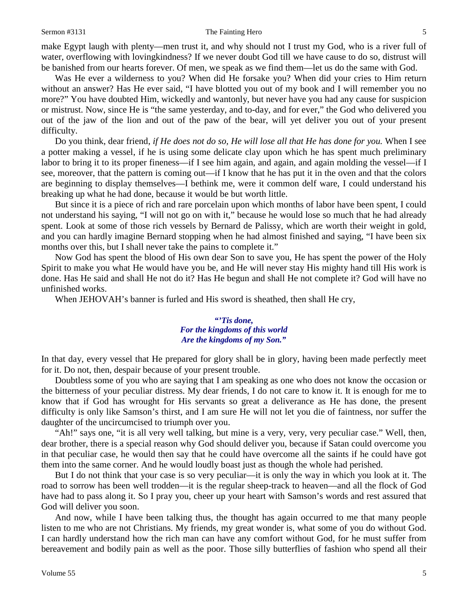#### Sermon #3131 The Fainting Hero 5

make Egypt laugh with plenty—men trust it, and why should not I trust my God, who is a river full of water, overflowing with lovingkindness? If we never doubt God till we have cause to do so, distrust will be banished from our hearts forever. Of men, we speak as we find them—let us do the same with God.

Was He ever a wilderness to you? When did He forsake you? When did your cries to Him return without an answer? Has He ever said, "I have blotted you out of my book and I will remember you no more?" You have doubted Him, wickedly and wantonly, but never have you had any cause for suspicion or mistrust. Now, since He is "the same yesterday, and to-day, and for ever," the God who delivered you out of the jaw of the lion and out of the paw of the bear, will yet deliver you out of your present difficulty.

Do you think, dear friend, *if He does not do so, He will lose all that He has done for you.* When I see a potter making a vessel, if he is using some delicate clay upon which he has spent much preliminary labor to bring it to its proper fineness—if I see him again, and again, and again molding the vessel—if I see, moreover, that the pattern is coming out—if I know that he has put it in the oven and that the colors are beginning to display themselves—I bethink me, were it common delf ware, I could understand his breaking up what he had done, because it would be but worth little.

But since it is a piece of rich and rare porcelain upon which months of labor have been spent, I could not understand his saying, "I will not go on with it," because he would lose so much that he had already spent. Look at some of those rich vessels by Bernard de Palissy, which are worth their weight in gold, and you can hardly imagine Bernard stopping when he had almost finished and saying, "I have been six months over this, but I shall never take the pains to complete it."

Now God has spent the blood of His own dear Son to save you, He has spent the power of the Holy Spirit to make you what He would have you be, and He will never stay His mighty hand till His work is done. Has He said and shall He not do it? Has He begun and shall He not complete it? God will have no unfinished works.

When JEHOVAH's banner is furled and His sword is sheathed, then shall He cry,

#### *"'Tis done, For the kingdoms of this world Are the kingdoms of my Son."*

In that day, every vessel that He prepared for glory shall be in glory, having been made perfectly meet for it. Do not, then, despair because of your present trouble.

Doubtless some of you who are saying that I am speaking as one who does not know the occasion or the bitterness of your peculiar distress. My dear friends, I do not care to know it. It is enough for me to know that if God has wrought for His servants so great a deliverance as He has done, the present difficulty is only like Samson's thirst, and I am sure He will not let you die of faintness, nor suffer the daughter of the uncircumcised to triumph over you.

"Ah!" says one, "it is all very well talking, but mine is a very, very, very peculiar case." Well, then, dear brother, there is a special reason why God should deliver you, because if Satan could overcome you in that peculiar case, he would then say that he could have overcome all the saints if he could have got them into the same corner. And he would loudly boast just as though the whole had perished.

But I do not think that your case is so very peculiar—it is only the way in which you look at it. The road to sorrow has been well trodden—it is the regular sheep-track to heaven—and all the flock of God have had to pass along it. So I pray you, cheer up your heart with Samson's words and rest assured that God will deliver you soon.

And now, while I have been talking thus, the thought has again occurred to me that many people listen to me who are not Christians. My friends, my great wonder is, what some of you do without God. I can hardly understand how the rich man can have any comfort without God, for he must suffer from bereavement and bodily pain as well as the poor. Those silly butterflies of fashion who spend all their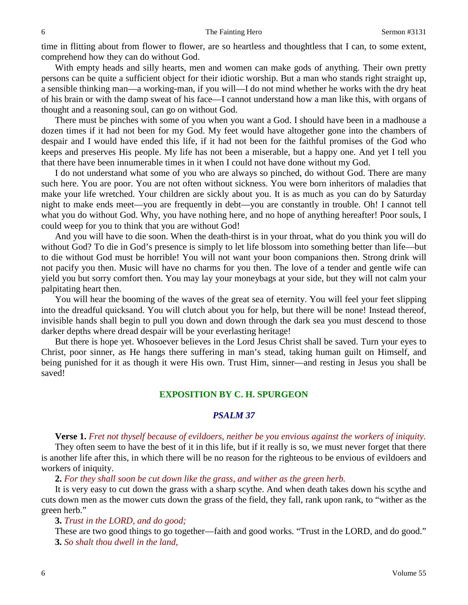time in flitting about from flower to flower, are so heartless and thoughtless that I can, to some extent, comprehend how they can do without God.

With empty heads and silly hearts, men and women can make gods of anything. Their own pretty persons can be quite a sufficient object for their idiotic worship. But a man who stands right straight up, a sensible thinking man—a working-man, if you will—I do not mind whether he works with the dry heat of his brain or with the damp sweat of his face—I cannot understand how a man like this, with organs of thought and a reasoning soul, can go on without God.

There must be pinches with some of you when you want a God. I should have been in a madhouse a dozen times if it had not been for my God. My feet would have altogether gone into the chambers of despair and I would have ended this life, if it had not been for the faithful promises of the God who keeps and preserves His people. My life has not been a miserable, but a happy one. And yet I tell you that there have been innumerable times in it when I could not have done without my God.

I do not understand what some of you who are always so pinched, do without God. There are many such here. You are poor. You are not often without sickness. You were born inheritors of maladies that make your life wretched. Your children are sickly about you. It is as much as you can do by Saturday night to make ends meet—you are frequently in debt—you are constantly in trouble. Oh! I cannot tell what you do without God. Why, you have nothing here, and no hope of anything hereafter! Poor souls, I could weep for you to think that you are without God!

And you will have to die soon. When the death-thirst is in your throat, what do you think you will do without God? To die in God's presence is simply to let life blossom into something better than life—but to die without God must be horrible! You will not want your boon companions then. Strong drink will not pacify you then. Music will have no charms for you then. The love of a tender and gentle wife can yield you but sorry comfort then. You may lay your moneybags at your side, but they will not calm your palpitating heart then.

You will hear the booming of the waves of the great sea of eternity. You will feel your feet slipping into the dreadful quicksand. You will clutch about you for help, but there will be none! Instead thereof, invisible hands shall begin to pull you down and down through the dark sea you must descend to those darker depths where dread despair will be your everlasting heritage!

But there is hope yet. Whosoever believes in the Lord Jesus Christ shall be saved. Turn your eyes to Christ, poor sinner, as He hangs there suffering in man's stead, taking human guilt on Himself, and being punished for it as though it were His own. Trust Him, sinner—and resting in Jesus you shall be saved!

## **EXPOSITION BY C. H. SPURGEON**

## *PSALM 37*

## **Verse 1.** *Fret not thyself because of evildoers, neither be you envious against the workers of iniquity.*

They often seem to have the best of it in this life, but if it really is so, we must never forget that there is another life after this, in which there will be no reason for the righteous to be envious of evildoers and workers of iniquity.

**2.** *For they shall soon be cut down like the grass, and wither as the green herb.*

It is very easy to cut down the grass with a sharp scythe. And when death takes down his scythe and cuts down men as the mower cuts down the grass of the field, they fall, rank upon rank, to "wither as the green herb."

## **3.** *Trust in the LORD, and do good;*

These are two good things to go together—faith and good works. "Trust in the LORD, and do good." **3.** *So shalt thou dwell in the land,*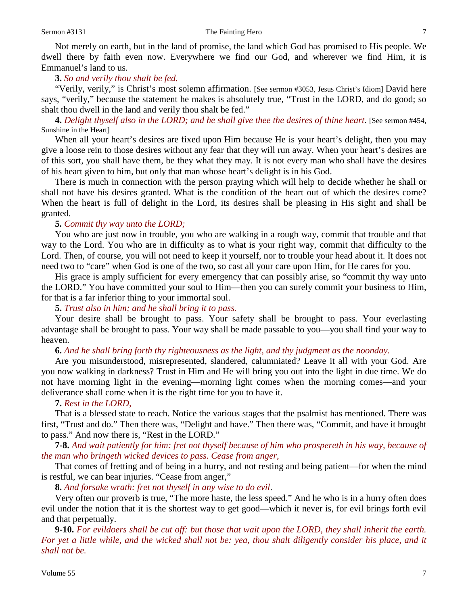Not merely on earth, but in the land of promise, the land which God has promised to His people. We dwell there by faith even now. Everywhere we find our God, and wherever we find Him, it is Emmanuel's land to us.

## **3.** *So and verily thou shalt be fed.*

"Verily, verily," is Christ's most solemn affirmation. [See sermon #3053, Jesus Christ's Idiom] David here says, "verily," because the statement he makes is absolutely true, "Trust in the LORD, and do good; so shalt thou dwell in the land and verily thou shalt be fed."

**4.** *Delight thyself also in the LORD; and he shall give thee the desires of thine heart*. [See sermon #454, Sunshine in the Heart]

When all your heart's desires are fixed upon Him because He is your heart's delight, then you may give a loose rein to those desires without any fear that they will run away. When your heart's desires are of this sort, you shall have them, be they what they may. It is not every man who shall have the desires of his heart given to him, but only that man whose heart's delight is in his God.

There is much in connection with the person praying which will help to decide whether he shall or shall not have his desires granted. What is the condition of the heart out of which the desires come? When the heart is full of delight in the Lord, its desires shall be pleasing in His sight and shall be granted.

## **5.** *Commit thy way unto the LORD;*

You who are just now in trouble, you who are walking in a rough way, commit that trouble and that way to the Lord. You who are in difficulty as to what is your right way, commit that difficulty to the Lord. Then, of course, you will not need to keep it yourself, nor to trouble your head about it. It does not need two to "care" when God is one of the two, so cast all your care upon Him, for He cares for you.

His grace is amply sufficient for every emergency that can possibly arise, so "commit thy way unto the LORD." You have committed your soul to Him—then you can surely commit your business to Him, for that is a far inferior thing to your immortal soul.

## **5.** *Trust also in him; and he shall bring it to pass.*

Your desire shall be brought to pass. Your safety shall be brought to pass. Your everlasting advantage shall be brought to pass. Your way shall be made passable to you—you shall find your way to heaven.

## **6.** *And he shall bring forth thy righteousness as the light, and thy judgment as the noonday.*

Are you misunderstood, misrepresented, slandered, calumniated? Leave it all with your God. Are you now walking in darkness? Trust in Him and He will bring you out into the light in due time. We do not have morning light in the evening—morning light comes when the morning comes—and your deliverance shall come when it is the right time for you to have it.

## **7.** *Rest in the LORD,*

That is a blessed state to reach. Notice the various stages that the psalmist has mentioned. There was first, "Trust and do." Then there was, "Delight and have." Then there was, "Commit, and have it brought to pass." And now there is, "Rest in the LORD."

**7-8.** *And wait patiently for him: fret not thyself because of him who prospereth in his way, because of the man who bringeth wicked devices to pass. Cease from anger,*

That comes of fretting and of being in a hurry, and not resting and being patient—for when the mind is restful, we can bear injuries. "Cease from anger,"

**8.** *And forsake wrath: fret not thyself in any wise to do evil*.

Very often our proverb is true, "The more haste, the less speed." And he who is in a hurry often does evil under the notion that it is the shortest way to get good—which it never is, for evil brings forth evil and that perpetually.

**9-10.** *For evildoers shall be cut off: but those that wait upon the LORD, they shall inherit the earth. For yet a little while, and the wicked shall not be: yea, thou shalt diligently consider his place, and it shall not be.*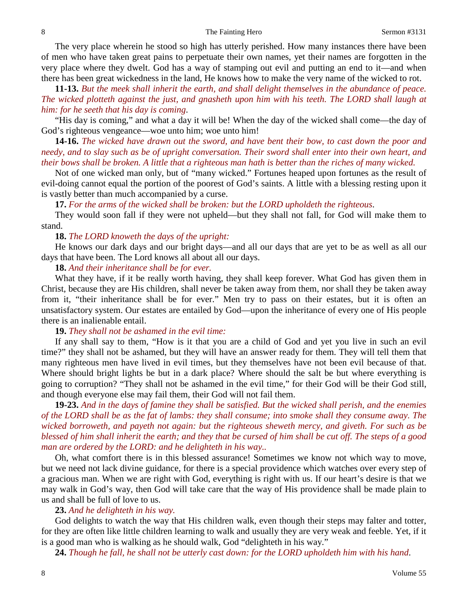The very place wherein he stood so high has utterly perished. How many instances there have been of men who have taken great pains to perpetuate their own names, yet their names are forgotten in the very place where they dwelt. God has a way of stamping out evil and putting an end to it—and when there has been great wickedness in the land, He knows how to make the very name of the wicked to rot.

**11-13.** *But the meek shall inherit the earth, and shall delight themselves in the abundance of peace. The wicked plotteth against the just, and gnasheth upon him with his teeth. The LORD shall laugh at him: for he seeth that his day is coming*.

"His day is coming," and what a day it will be! When the day of the wicked shall come—the day of God's righteous vengeance—woe unto him; woe unto him!

**14-16.** *The wicked have drawn out the sword, and have bent their bow, to cast down the poor and needy, and to slay such as be of upright conversation. Their sword shall enter into their own heart, and their bows shall be broken. A little that a righteous man hath is better than the riches of many wicked.*

Not of one wicked man only, but of "many wicked." Fortunes heaped upon fortunes as the result of evil-doing cannot equal the portion of the poorest of God's saints. A little with a blessing resting upon it is vastly better than much accompanied by a curse.

**17.** *For the arms of the wicked shall be broken: but the LORD upholdeth the righteous*.

They would soon fall if they were not upheld—but they shall not fall, for God will make them to stand.

## **18.** *The LORD knoweth the days of the upright:*

He knows our dark days and our bright days—and all our days that are yet to be as well as all our days that have been. The Lord knows all about all our days.

**18.** *And their inheritance shall be for ever.*

What they have, if it be really worth having, they shall keep forever. What God has given them in Christ, because they are His children, shall never be taken away from them, nor shall they be taken away from it, "their inheritance shall be for ever." Men try to pass on their estates, but it is often an unsatisfactory system. Our estates are entailed by God—upon the inheritance of every one of His people there is an inalienable entail.

#### **19.** *They shall not be ashamed in the evil time:*

If any shall say to them, "How is it that you are a child of God and yet you live in such an evil time?" they shall not be ashamed, but they will have an answer ready for them. They will tell them that many righteous men have lived in evil times, but they themselves have not been evil because of that. Where should bright lights be but in a dark place? Where should the salt be but where everything is going to corruption? "They shall not be ashamed in the evil time," for their God will be their God still, and though everyone else may fail them, their God will not fail them.

**19-23.** *And in the days of famine they shall be satisfied. But the wicked shall perish, and the enemies of the LORD shall be as the fat of lambs: they shall consume; into smoke shall they consume away. The wicked borroweth, and payeth not again: but the righteous sheweth mercy, and giveth. For such as be blessed of him shall inherit the earth; and they that be cursed of him shall be cut off. The steps of a good man are ordered by the LORD: and he delighteth in his way..*

Oh, what comfort there is in this blessed assurance! Sometimes we know not which way to move, but we need not lack divine guidance, for there is a special providence which watches over every step of a gracious man. When we are right with God, everything is right with us. If our heart's desire is that we may walk in God's way, then God will take care that the way of His providence shall be made plain to us and shall be full of love to us.

#### **23.** *And he delighteth in his way.*

God delights to watch the way that His children walk, even though their steps may falter and totter, for they are often like little children learning to walk and usually they are very weak and feeble. Yet, if it is a good man who is walking as he should walk, God "delighteth in his way."

**24.** *Though he fall, he shall not be utterly cast down: for the LORD upholdeth him with his hand*.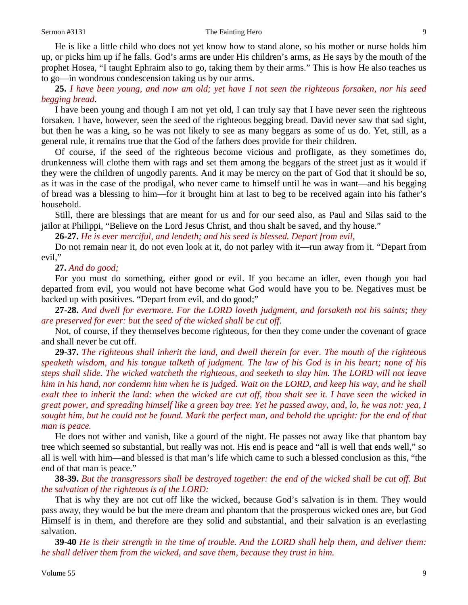He is like a little child who does not yet know how to stand alone, so his mother or nurse holds him up, or picks him up if he falls. God's arms are under His children's arms, as He says by the mouth of the prophet Hosea, "I taught Ephraim also to go, taking them by their arms." This is how He also teaches us to go—in wondrous condescension taking us by our arms.

**25.** *I have been young, and now am old; yet have I not seen the righteous forsaken, nor his seed begging bread*.

I have been young and though I am not yet old, I can truly say that I have never seen the righteous forsaken. I have, however, seen the seed of the righteous begging bread. David never saw that sad sight, but then he was a king, so he was not likely to see as many beggars as some of us do. Yet, still, as a general rule, it remains true that the God of the fathers does provide for their children.

Of course, if the seed of the righteous become vicious and profligate, as they sometimes do, drunkenness will clothe them with rags and set them among the beggars of the street just as it would if they were the children of ungodly parents. And it may be mercy on the part of God that it should be so, as it was in the case of the prodigal, who never came to himself until he was in want—and his begging of bread was a blessing to him—for it brought him at last to beg to be received again into his father's household.

Still, there are blessings that are meant for us and for our seed also, as Paul and Silas said to the jailor at Philippi, "Believe on the Lord Jesus Christ, and thou shalt be saved, and thy house."

**26-27.** *He is ever merciful, and lendeth; and his seed is blessed. Depart from evil,*

Do not remain near it, do not even look at it, do not parley with it—run away from it. "Depart from evil,"

**27.** *And do good;*

For you must do something, either good or evil. If you became an idler, even though you had departed from evil, you would not have become what God would have you to be. Negatives must be backed up with positives. "Depart from evil, and do good;"

**27-28.** *And dwell for evermore. For the LORD loveth judgment, and forsaketh not his saints; they are preserved for ever: but the seed of the wicked shall be cut off*.

Not, of course, if they themselves become righteous, for then they come under the covenant of grace and shall never be cut off.

**29-37.** *The righteous shall inherit the land, and dwell therein for ever. The mouth of the righteous speaketh wisdom, and his tongue talketh of judgment. The law of his God is in his heart; none of his steps shall slide. The wicked watcheth the righteous, and seeketh to slay him. The LORD will not leave him in his hand, nor condemn him when he is judged. Wait on the LORD, and keep his way, and he shall exalt thee to inherit the land: when the wicked are cut off, thou shalt see it. I have seen the wicked in great power, and spreading himself like a green bay tree. Yet he passed away, and, lo, he was not: yea, I sought him, but he could not be found. Mark the perfect man, and behold the upright: for the end of that man is peace.*

He does not wither and vanish, like a gourd of the night. He passes not away like that phantom bay tree which seemed so substantial, but really was not. His end is peace and "all is well that ends well," so all is well with him—and blessed is that man's life which came to such a blessed conclusion as this, "the end of that man is peace."

**38-39.** *But the transgressors shall be destroyed together: the end of the wicked shall be cut off. But the salvation of the righteous is of the LORD:*

That is why they are not cut off like the wicked, because God's salvation is in them. They would pass away, they would be but the mere dream and phantom that the prosperous wicked ones are, but God Himself is in them, and therefore are they solid and substantial, and their salvation is an everlasting salvation.

**39-40** *He is their strength in the time of trouble. And the LORD shall help them, and deliver them: he shall deliver them from the wicked, and save them, because they trust in him.*